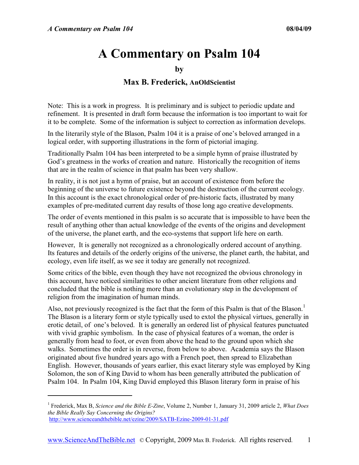<u>.</u>

# **A Commentary on Psalm 104**

**by** 

### **Max B. Frederick, AnOldScientist**

Note: This is a work in progress. It is preliminary and is subject to periodic update and refinement. It is presented in draft form because the information is too important to wait for it to be complete. Some of the information is subject to correction as information develops.

In the literarily style of the Blason, Psalm 104 it is a praise of one's beloved arranged in a logical order, with supporting illustrations in the form of pictorial imaging.

Traditionally Psalm 104 has been interpreted to be a simple hymn of praise illustrated by God's greatness in the works of creation and nature. Historically the recognition of items that are in the realm of science in that psalm has been very shallow.

In reality, it is not just a hymn of praise, but an account of existence from before the beginning of the universe to future existence beyond the destruction of the current ecology. In this account is the exact chronological order of pre-historic facts, illustrated by many examples of pre-meditated current day results of those long ago creative developments.

The order of events mentioned in this psalm is so accurate that is impossible to have been the result of anything other than actual knowledge of the events of the origins and development of the universe, the planet earth, and the eco-systems that support life here on earth.

However, It is generally not recognized as a chronologically ordered account of anything. Its features and details of the orderly origins of the universe, the planet earth, the habitat, and ecology, even life itself, as we see it today are generally not recognized.

Some critics of the bible, even though they have not recognized the obvious chronology in this account, have noticed similarities to other ancient literature from other religions and concluded that the bible is nothing more than an evolutionary step in the development of religion from the imagination of human minds.

Also, not previously recognized is the fact that the form of this Psalm is that of the Blason.<sup>1</sup> The Blason is a literary form or style typically used to extol the physical virtues, generally in erotic detail, of one's beloved. It is generally an ordered list of physical features punctuated with vivid graphic symbolism. In the case of physical features of a woman, the order is generally from head to foot, or even from above the head to the ground upon which she walks. Sometimes the order is in reverse, from below to above. Academia says the Blason originated about five hundred years ago with a French poet, then spread to Elizabethan English. However, thousands of years earlier, this exact literary style was employed by King Solomon, the son of King David to whom has been generally attributed the publication of Psalm 104. In Psalm 104, King David employed this Blason literary form in praise of his

<sup>1</sup> Frederick, Max B, *Science and the Bible E-Zine*, Volume 2, Number 1, January 31, 2009 article 2, *What Does the Bible Really Say Concerning the Origins?* http://www.scienceandthebible.net/ezine/2009/SATB-Ezine-2009-01-31.pdf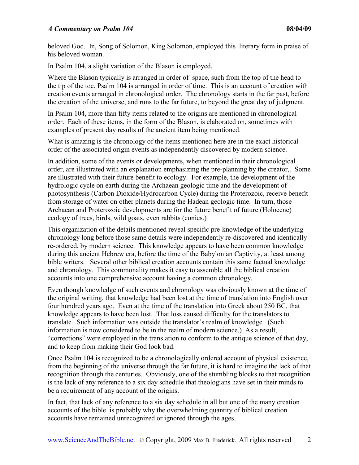beloved God. In, Song of Solomon, King Solomon, employed this literary form in praise of his beloved woman.

In Psalm 104, a slight variation of the Blason is employed.

Where the Blason typically is arranged in order of space, such from the top of the head to the tip of the toe, Psalm 104 is arranged in order of time. This is an account of creation with creation events arranged in chronological order. The chronology starts in the far past, before the creation of the universe, and runs to the far future, to beyond the great day of judgment.

In Psalm 104, more than fifty items related to the origins are mentioned in chronological order. Each of these items, in the form of the Blason, is elaborated on, sometimes with examples of present day results of the ancient item being mentioned.

What is amazing is the chronology of the items mentioned here are in the exact historical order of the associated origin events as independently discovered by modern science.

In addition, some of the events or developments, when mentioned in their chronological order, are illustrated with an explanation emphasizing the pre-planning by the creator,. Some are illustrated with their future benefit to ecology. For example, the development of the hydrologic cycle on earth during the Archaean geologic time and the development of photosynthesis (Carbon Dioxide/Hydrocarbon Cycle) during the Proterozoic, receive benefit from storage of water on other planets during the Hadean geologic time. In turn, those Archaean and Proterozoic developments are for the future benefit of future (Holocene) ecology of trees, birds, wild goats, even rabbits (conies.)

This organization of the details mentioned reveal specific pre-knowledge of the underlying chronology long before those same details were independently re-discovered and identically re-ordered, by modern science. This knowledge appears to have been common knowledge during this ancient Hebrew era, before the time of the Babylonian Captivity, at least among bible writers. Several other biblical creation accounts contain this same factual knowledge and chronology. This commonality makes it easy to assemble all the biblical creation accounts into one comprehensive account having a common chronology.

Even though knowledge of such events and chronology was obviously known at the time of the original writing, that knowledge had been lost at the time of translation into English over four hundred years ago. Even at the time of the translation into Greek about 250 BC, that knowledge appears to have been lost. That loss caused difficulty for the translators to translate. Such information was outside the translator's realm of knowledge. (Such information is now considered to be in the realm of modern science.) As a result, "corrections" were employed in the translation to conform to the antique science of that day, and to keep from making their God look bad.

Once Psalm 104 is recognized to be a chronologically ordered account of physical existence, from the beginning of the universe through the far future, it is hard to imagine the lack of that recognition through the centuries. Obviously, one of the stumbling blocks to that recognition is the lack of any reference to a six day schedule that theologians have set in their minds to be a requirement of any account of the origins.

In fact, that lack of any reference to a six day schedule in all but one of the many creation accounts of the bible is probably why the overwhelming quantity of biblical creation accounts have remained unrecognized or ignored through the ages.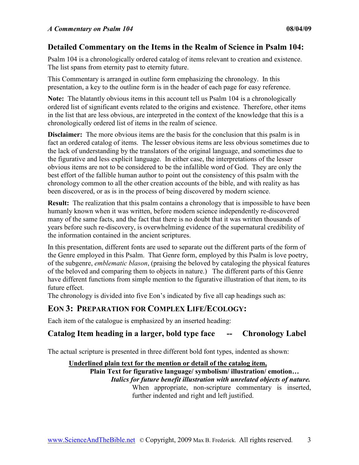#### **Detailed Commentary on the Items in the Realm of Science in Psalm 104:**

Psalm 104 is a chronologically ordered catalog of items relevant to creation and existence. The list spans from eternity past to eternity future.

This Commentary is arranged in outline form emphasizing the chronology. In this presentation, a key to the outline form is in the header of each page for easy reference.

**Note:** The blatantly obvious items in this account tell us Psalm 104 is a chronologically ordered list of significant events related to the origins and existence. Therefore, other items in the list that are less obvious, are interpreted in the context of the knowledge that this is a chronologically ordered list of items in the realm of science.

**Disclaimer:** The more obvious items are the basis for the conclusion that this psalm is in fact an ordered catalog of items. The lesser obvious items are less obvious sometimes due to the lack of understanding by the translators of the original language, and sometimes due to the figurative and less explicit language. In either case, the interpretations of the lesser obvious items are not to be considered to be the infallible word of God. They are only the best effort of the fallible human author to point out the consistency of this psalm with the chronology common to all the other creation accounts of the bible, and with reality as has been discovered, or as is in the process of being discovered by modern science.

**Result:** The realization that this psalm contains a chronology that is impossible to have been humanly known when it was written, before modern science independently re-discovered many of the same facts, and the fact that there is no doubt that it was written thousands of years before such re-discovery, is overwhelming evidence of the supernatural credibility of the information contained in the ancient scriptures.

In this presentation, different fonts are used to separate out the different parts of the form of the Genre employed in this Psalm. That Genre form, employed by this Psalm is love poetry, of the subgenre, *emblematic blason*, (praising the beloved by cataloging the physical features of the beloved and comparing them to objects in nature.) The different parts of this Genre have different functions from simple mention to the figurative illustration of that item, to its future effect.

The chronology is divided into five Eon's indicated by five all cap headings such as:

### **EON 3: PREPARATION FOR COMPLEX LIFE/ECOLOGY:**

Each item of the catalogue is emphasized by an inserted heading:

### **Catalog Item heading in a larger, bold type face -- Chronology Label**

The actual scripture is presented in three different bold font types, indented as shown:

#### **Underlined plain text for the mention or detail of the catalog item,**

**Plain Text for figurative language/ symbolism/ illustration/ emotion…**  *Italics for future benefit illustration with unrelated objects of nature.*  When appropriate, non-scripture commentary is inserted, further indented and right and left justified.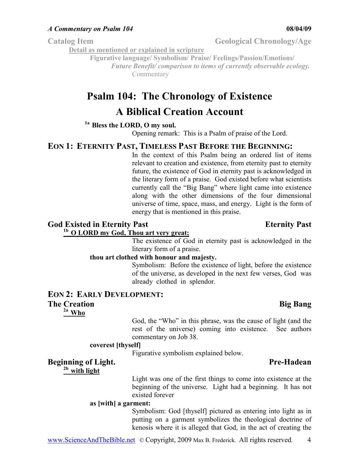**Detail as mentioned or explained in scripture**

**Figurative language/ Symbolism/ Praise/ Feelings/Passion/Emotions/**  *Future Benefit/ comparison to items of currently observable ecology.*  Commentary

# **Psalm 104: The Chronology of Existence**

# **A Biblical Creation Account**

# **1a Bless the LORD, O my soul.**

Opening remark: This is a Psalm of praise of the Lord.

#### **EON 1: ETERNITY PAST, TIMELESS PAST BEFORE THE BEGINNING:**

In the context of this Psalm being an ordered list of items relevant to creation and existence, from eternity past to eternity future, the existence of God in eternity past is acknowledged in the literary form of a praise. God existed before what scientists currently call the "Big Bang" where light came into existence along with the other dimensions of the four dimensional universe of time, space, mass, and energy. Light is the form of energy that is mentioned in this praise.

# **God Existed in Eternity Past Eternity Past**

# **1b O LORD my God, Thou art very great;**

The existence of God in eternity past is acknowledged in the literary form of a praise.

#### **thou art clothed with honour and majesty.**

Symbolism: Before the existence of light, before the existence of the universe, as developed in the next few verses, God was already clothed in splendor.

### **EON 2: EARLY DEVELOPMENT:**

#### **The Creation Big Bang**  Bang **Bang Bang Bang Bang Bang Bang Bang Bang Bang Bang Bang Bang Bang Bang Bang Bang Bang Bang Bang Bang Bang Bang Bang Bang Bang Bang Bang Bang**

**2a Who** 

God, the "Who" in this phrase, was the cause of light (and the rest of the universe) coming into existence. See authors commentary on Job 38.

#### **coverest [thyself]**

Figurative symbolism explained below.

#### **Beginning of Light.** Pre-Hadean

**2b with light** 

Light was one of the first things to come into existence at the beginning of the universe. Light had a beginning. It has not existed forever

#### **as [with] a garment:**

Symbolism: God [thyself] pictured as entering into light as in putting on a garment symbolizes the theological doctrine of kenosis where it is alleged that God, in the act of creating the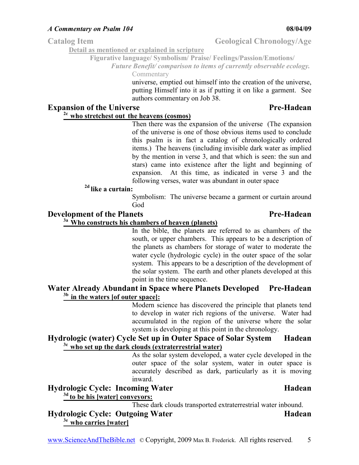**Detail as mentioned or explained in scripture**

**Figurative language/ Symbolism/ Praise/ Feelings/Passion/Emotions/** 

*Future Benefit/ comparison to items of currently observable ecology.*  Commentary

> universe, emptied out himself into the creation of the universe, putting Himself into it as if putting it on like a garment. See authors commentary on Job 38.

### **Expansion of the Universe Pre-Hadean**  Pre-Hadean

# **2c who stretchest out the heavens (cosmos)**

Then there was the expansion of the universe (The expansion of the universe is one of those obvious items used to conclude this psalm is in fact a catalog of chronologically ordered items.) The heavens (including invisible dark water as implied by the mention in verse 3, and that which is seen: the sun and stars) came into existence after the light and beginning of expansion. At this time, as indicated in verse 3 and the following verses, water was abundant in outer space

### **2d like a curtain:**

Symbolism: The universe became a garment or curtain around God

#### **Development of the Planets** Pre-Hadean **Pre-Hadean**

#### **3a Who constructs his chambers of heaven (planets)**

In the bible, the planets are referred to as chambers of the south, or upper chambers. This appears to be a description of the planets as chambers for storage of water to moderate the water cycle (hydrologic cycle) in the outer space of the solar system. This appears to be a description of the development of the solar system. The earth and other planets developed at this point in the time sequence.

#### **Water Already Abundant in Space where Planets Developed Pre-Hadean 3b in the waters [of outer space]:**

Modern science has discovered the principle that planets tend to develop in water rich regions of the universe. Water had accumulated in the region of the universe where the solar system is developing at this point in the chronology.

#### **Hydrologic (water) Cycle Set up in Outer Space of Solar System Hadean 3c who set up the dark clouds (extraterrestrial water)**

As the solar system developed, a water cycle developed in the outer space of the solar system, water in outer space is accurately described as dark, particularly as it is moving inward.

#### **Hydrologic Cycle: Incoming Water Hadean Hadean 3d to be his [water] conveyors:**

These dark clouds transported extraterrestrial water inbound.

#### **Hydrologic Cycle: Outgoing Water Hadean Hadean 3e who carries [water]**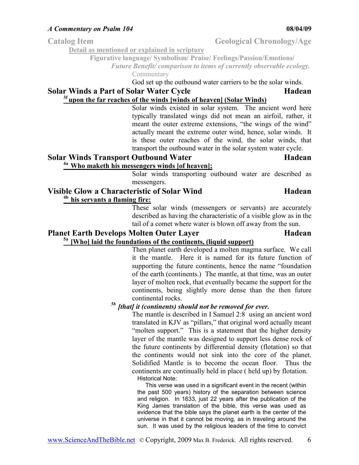**Detail as mentioned or explained in scripture**

**Figurative language/ Symbolism/ Praise/ Feelings/Passion/Emotions/** 

*Future Benefit/ comparison to items of currently observable ecology.*  Commentary

God set up the outbound water carriers to be the solar winds.

#### **Solar Winds a Part of Solar Water Cycle <b>Hadean Hadean 3f upon the far reaches of the winds [winds of heaven] (Solar Winds)**

Solar winds existed in solar system. The ancient word here typically translated wings did not mean an airfoil, rather, it meant the outer extreme extensions, "the wings of the wind" actually meant the extreme outer wind, hence, solar winds. It is these outer reaches of the wind, the solar winds, that transport the outbound water in the solar system water cycle.

#### **Solar Winds Transport Outbound Water Hadean**

# **4a Who maketh his messengers winds [of heaven];**

Solar winds transporting outbound water are described as messengers.

#### **Visible Glow a Characteristic of Solar Wind Hadean** *Hadean* **4b his servants a flaming fire:**

These solar winds (messengers or servants) are accurately described as having the characteristic of a visible glow as in the tail of a comet where water is blown off away from the sun.

#### **Planet Earth Develops Molten Outer Layer Hadean 5a [Who] laid the foundations of the continents, (liquid support)**

Then planet earth developed a molten magma surface. We call it the mantle. Here it is named for its future function of supporting the future continents, hence the name "foundation of the earth (continents.) The mantle, at that time, was an outer layer of molten rock, that eventually became the support for the continents, being slightly more dense than the then future continental rocks.

# *5b [that] it (continents) should not be removed for ever.*

The mantle is described in I Samuel 2:8 using an ancient word translated in KJV as "pillars," that original word actually meant "molten support." This is a statement that the higher density layer of the mantle was designed to support less dense rock of the future continents by differential density (flotation) so that the continents would not sink into the core of the planet. Solidified Mantle is to become the ocean floor. Thus the continents are continually held in place ( held up) by flotation. Historical Note:

 This verse was used in a significant event in the recent (within the past 500 years) history of the separation between science and religion. In 1633, just 22 years after the publication of the King James translation of the bible, this verse was used as evidence that the bible says the planet earth is the center of the universe in that it cannot be moving, as in traveling around the sun. It was used by the religious leaders of the time to convict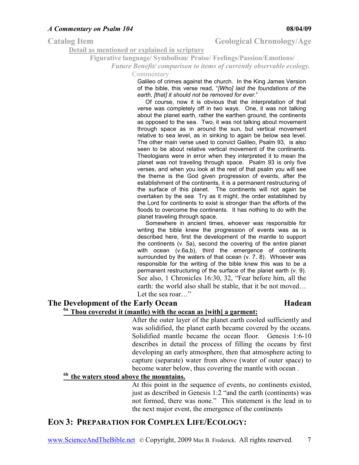**Detail as mentioned or explained in scripture**

**Figurative language/ Symbolism/ Praise/ Feelings/Passion/Emotions/** 

*Future Benefit/ comparison to items of currently observable ecology.* 

Commentary

Galileo of crimes against the church. In the King James Version of the bible, this verse read, "*[Who] laid the foundations of the earth, [that] it should not be removed for ever.*"

 Of course, now it is obvious that the interpretation of that verse was completely off in two ways. One, it was not talking about the planet earth, rather the earthen ground, the continents as opposed to the sea. Two, it was not talking about movement through space as in around the sun, but vertical movement relative to sea level, as in sinking to again be below sea level. The other main verse used to convict Galileo, Psalm 93, is also seen to be about relative vertical movement of the continents. Theologians were in error when they interpreted it to mean the planet was not traveling through space. Psalm 93 is only five verses, and when you look at the rest of that psalm you will see the theme is the God given progression of events, after the establishment of the continents, it is a permanent restructuring of the surface of this planet. The continents will not again be overtaken by the sea Try as it might, the order established by the Lord for continents to exist is stronger than the efforts of the floods to overcome the continents. It has nothing to do with the planet traveling through space.

 Somewhere in ancient times, whoever was responsible for writing the bible knew the progression of events was as is described here, first the development of the mantle to support the continents (v. 5a), second the covering of the entire planet with ocean (v.6a,b), third the emergence of continents surrounded by the waters of that ocean (v. 7, 8). Whoever was responsible for the writing of the bible knew this was to be a permanent restructuring of the surface of the planet earth (v. 9). See also, 1 Chronicles 16:30, 32, "Fear before him, all the earth: the world also shall be stable, that it be not moved… Let the sea roar…"

# **The Development of the Early Ocean Hadean Hadean**

#### **6a Thou coveredst it (mantle) with the ocean as [with] a garment:**

After the outer layer of the planet earth cooled sufficiently and was solidified, the planet earth became covered by the oceans. Solidified mantle became the ocean floor. Genesis 1:6-10 describes in detail the process of filling the oceans by first developing an early atmosphere, then that atmosphere acting to capture (separate) water from above (water of outer space) to become water below, thus covering the mantle with ocean .

### **6b the waters stood above the mountains.**

At this point in the sequence of events, no continents existed, just as described in Genesis 1:2 "and the earth (continents) was not formed, there was none." This statement is the lead in to the next major event, the emergence of the continents

# **EON 3: PREPARATION FOR COMPLEX LIFE/ECOLOGY:**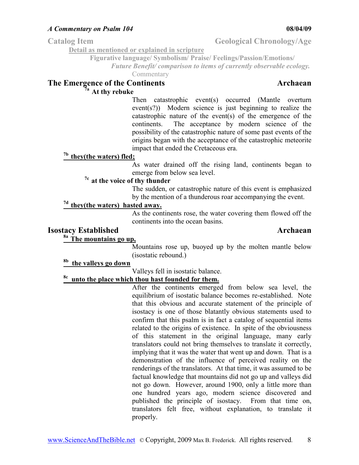Catalog Item Geological Chronology/Age

**Detail as mentioned or explained in scripture**

**Figurative language/ Symbolism/ Praise/ Feelings/Passion/Emotions/** 

*Future Benefit/ comparison to items of currently observable ecology.* 

Commentary

# **The Emergence of the Continents Archaean**

# **7a At thy rebuke**

Then catastrophic event(s) occurred (Mantle overturn event(s?)) Modern science is just beginning to realize the catastrophic nature of the event(s) of the emergence of the continents. The acceptance by modern science of the possibility of the catastrophic nature of some past events of the origins began with the acceptance of the catastrophic meteorite impact that ended the Cretaceous era.

#### **7b they(the waters) fled;**

As water drained off the rising land, continents began to emerge from below sea level.

#### **7c at the voice of thy thunder**

The sudden, or catastrophic nature of this event is emphasized by the mention of a thunderous roar accompanying the event.

### **7d they(the waters) hasted away.**

As the continents rose, the water covering them flowed off the continents into the ocean basins.

#### **Isostacy Established Archaean**

### **8a The mountains go up,**

Mountains rose up, buoyed up by the molten mantle below (isostatic rebound.)

### **8b the valleys go down**

Valleys fell in isostatic balance.

# **8c unto the place which thou hast founded for them.**

After the continents emerged from below sea level, the equilibrium of isostatic balance becomes re-established. Note that this obvious and accurate statement of the principle of isostacy is one of those blatantly obvious statements used to confirm that this psalm is in fact a catalog of sequential items related to the origins of existence. In spite of the obviousness of this statement in the original language, many early translators could not bring themselves to translate it correctly, implying that it was the water that went up and down. That is a demonstration of the influence of perceived reality on the renderings of the translators. At that time, it was assumed to be factual knowledge that mountains did not go up and valleys did not go down. However, around 1900, only a little more than one hundred years ago, modern science discovered and published the principle of isostacy. From that time on, translators felt free, without explanation, to translate it properly.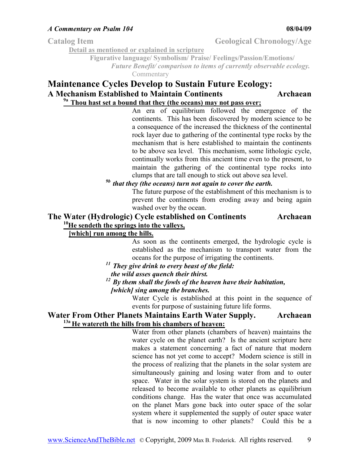Catalog Item Geological Chronology/Age

**Detail as mentioned or explained in scripture**

**Figurative language/ Symbolism/ Praise/ Feelings/Passion/Emotions/**  *Future Benefit/ comparison to items of currently observable ecology.* 

Commentary

### **Maintenance Cycles Develop to Sustain Future Ecology: A Mechanism Established to Maintain Continents Archaean 9a Thou hast set a bound that they (the oceans) may not pass over;**

An era of equilibrium followed the emergence of the continents. This has been discovered by modern science to be a consequence of the increased the thickness of the continental rock layer due to gathering of the continental type rocks by the mechanism that is here established to maintain the continents to be above sea level. This mechanism, some lithologic cycle, continually works from this ancient time even to the present, to maintain the gathering of the continental type rocks into clumps that are tall enough to stick out above sea level.

### *9b that they (the oceans) turn not again to cover the earth.*

The future purpose of the establishment of this mechanism is to prevent the continents from eroding away and being again washed over by the ocean.

#### **The Water (Hydrologic) Cycle established on Continents Archaean <sup>10</sup>He sendeth the springs into the valleys,**

#### **[which] run among the hills.**

As soon as the continents emerged, the hydrologic cycle is established as the mechanism to transport water from the oceans for the purpose of irrigating the continents.

- *<sup>11</sup>They give drink to every beast of the field:*
- *the wild asses quench their thirst.*
- *<sup>12</sup>By them shall the fowls of the heaven have their habitation,*

*[which] sing among the branches.* 

Water Cycle is established at this point in the sequence of events for purpose of sustaining future life forms.

#### **Water From Other Planets Maintains Earth Water Supply. Archaean 13a He watereth the hills from his chambers of heaven:**

Water from other planets (chambers of heaven) maintains the water cycle on the planet earth? Is the ancient scripture here makes a statement concerning a fact of nature that modern science has not yet come to accept? Modern science is still in the process of realizing that the planets in the solar system are simultaneously gaining and losing water from and to outer space. Water in the solar system is stored on the planets and released to become available to other planets as equilibrium conditions change. Has the water that once was accumulated on the planet Mars gone back into outer space of the solar system where it supplemented the supply of outer space water that is now incoming to other planets? Could this be a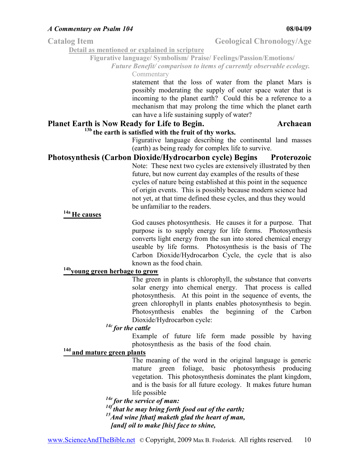**Figurative language/ Symbolism/ Praise/ Feelings/Passion/Emotions/** 

*Future Benefit/ comparison to items of currently observable ecology.*  Commentary

> statement that the loss of water from the planet Mars is possibly moderating the supply of outer space water that is incoming to the planet earth? Could this be a reference to a mechanism that may prolong the time which the planet earth can have a life sustaining supply of water?

# **Planet Earth is Now Ready for Life to Begin. Archaean**

**Detail as mentioned or explained in scripture**

#### **13b the earth is satisfied with the fruit of thy works.**

Figurative language describing the continental land masses (earth) as being ready for complex life to survive.

# **Photosynthesis (Carbon Dioxide/Hydrocarbon cycle) Begins Proterozoic**

Note: These next two cycles are extensively illustrated by then future, but now current day examples of the results of these cycles of nature being established at this point in the sequence of origin events. This is possibly because modern science had not yet, at that time defined these cycles, and thus they would be unfamiliar to the readers.

# **14a He causes**

God causes photosynthesis. He causes it for a purpose. That purpose is to supply energy for life forms. Photosynthesis converts light energy from the sun into stored chemical energy useable by life forms. Photosynthesis is the basis of The Carbon Dioxide/Hydrocarbon Cycle, the cycle that is also known as the food chain.

#### **14byoung green herbage to grow**

The green in plants is chlorophyll, the substance that converts solar energy into chemical energy. That process is called photosynthesis. At this point in the sequence of events, the green chlorophyll in plants enables photosynthesis to begin. Photosynthesis enables the beginning of the Carbon Dioxide/Hydrocarbon cycle:

### *14c for the cattle*

Example of future life form made possible by having photosynthesis as the basis of the food chain.

#### **14d and mature green plants**

The meaning of the word in the original language is generic mature green foliage, basic photosynthesis producing vegetation. This photosynthesis dominates the plant kingdom, and is the basis for all future ecology. It makes future human life possible

*14e for the service of man: 14f that he may bring forth food out of the earth; <sup>15</sup>And wine [that] maketh glad the heart of man, [and] oil to make [his] face to shine,*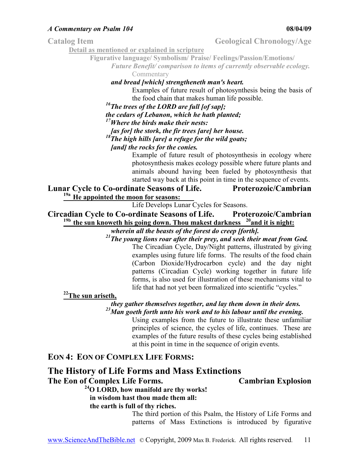Catalog Item Geological Chronology/Age

**Detail as mentioned or explained in scripture**

**Figurative language/ Symbolism/ Praise/ Feelings/Passion/Emotions/** 

*Future Benefit/ comparison to items of currently observable ecology.*  Commentary

*and bread [which] strengtheneth man's heart.* 

Examples of future result of photosynthesis being the basis of the food chain that makes human life possible.

*<sup>16</sup>The trees of the LORD are full [of sap];* 

*the cedars of Lebanon, which he hath planted;* 

*<sup>17</sup>Where the birds make their nests:* 

*[as for] the stork, the fir trees [are] her house.* 

*<sup>18</sup>The high hills [are] a refuge for the wild goats;* 

*[and] the rocks for the conies.* 

Example of future result of photosynthesis in ecology where photosynthesis makes ecology possible where future plants and animals abound having been fueled by photosynthesis that started way back at this point in time in the sequence of events.

### **Lunar Cycle to Co-ordinate Seasons of Life. Proterozoic/Cambrian 19a He appointed the moon for seasons:**

Life Develops Lunar Cycles for Seasons.

**Circadian Cycle to Co-ordinate Seasons of Life. Proterozoic/Cambrian 19b the sun knoweth his going down. Thou makest darkness <sup>20</sup>and it is night:**

*wherein all the beasts of the forest do creep [forth].* 

*<sup>21</sup>The young lions roar after their prey, and seek their meat from God.* 

The Circadian Cycle, Day/Night patterns, illustrated by giving examples using future life forms. The results of the food chain (Carbon Dioxide/Hydrocarbon cycle) and the day night patterns (Circadian Cycle) working together in future life forms, is also used for illustration of these mechanisms vital to life that had not yet been formalized into scientific "cycles."

**<sup>22</sup>The sun ariseth,** 

*they gather themselves together, and lay them down in their dens. <sup>23</sup>Man goeth forth unto his work and to his labour until the evening.* 

Using examples from the future to illustrate these unfamiliar principles of science, the cycles of life, continues. These are examples of the future results of these cycles being established at this point in time in the sequence of origin events.

### **EON 4: EON OF COMPLEX LIFE FORMS:**

# **The History of Life Forms and Mass Extinctions**

**The Eon of Complex Life Forms. Cambrian Explosion**

**<sup>24</sup>O LORD, how manifold are thy works! in wisdom hast thou made them all:** 

**the earth is full of thy riches.** 

The third portion of this Psalm, the History of Life Forms and patterns of Mass Extinctions is introduced by figurative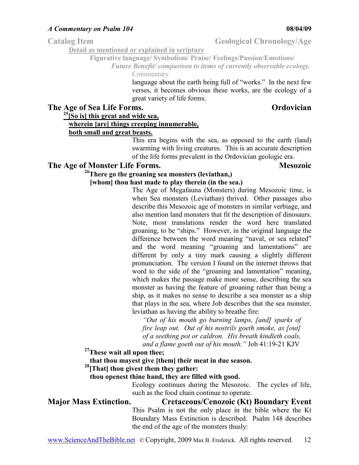**Detail as mentioned or explained in scripture**

**Figurative language/ Symbolism/ Praise/ Feelings/Passion/Emotions/** 

*Future Benefit/ comparison to items of currently observable ecology.*  Commentary

> language about the earth being full of "works." In the next few verses, it becomes obvious these works, are the ecology of a great variety of life forms.

### **The Age of Sea Life Forms.** Conservation of the **Ordovician**

**<sup>25</sup>[So is] this great and wide sea,** 

# **wherein [are] things creeping innumerable,**

#### **both small and great beasts.**

This era begins with the sea, as opposed to the earth (land) swarming with living creatures. This is an accurate description of the life forms prevalent in the Ordovician geologic era.

#### **The Age of Monster Life Forms. Mesozoic**

# **<sup>26</sup>There go the groaning sea monsters (leviathan,)**

#### **[whom] thou hast made to play therein (in the sea.)**

The Age of Megafauna (Monsters) during Mesozoic time, is when Sea monsters (Leviathan) thrived. Other passages also describe this Mesozoic age of monsters in similar verbiage, and also mention land monsters that fit the description of dinosaurs. Note, most translations render the word here translated groaning, to be "ships." However, in the original language the difference between the word meaning "naval, or sea related" and the word meaning "groaning and lamentations" are different by only a tiny mark causing a slightly different pronunciation. The version I found on the internet throws that word to the side of the "groaning and lamentation" meaning, which makes the passage make more sense, describing the sea monster as having the feature of groaning rather than being a ship, as it makes no sense to describe a sea monster as a ship that plays in the sea, where Job describes that the sea monster, leviathan as having the ability to breathe fire:

*"Out of his mouth go burning lamps, [and] sparks of fire leap out. Out of his nostrils goeth smoke, as [out] of a seething pot or caldron. His breath kindleth coals, and a flame goeth out of his mouth."* Job 41:19-21 KJV

**<sup>27</sup>These wait all upon thee;** 

**that thou mayest give [them] their meat in due season.** 

**<sup>28</sup>[That] thou givest them they gather:** 

#### **thou openest thine hand, they are filled with good.**

Ecology continues during the Mesozoic. The cycles of life, such as the food chain continue to operate.

# **Major Mass Extinction. Cretaceous/Cenozoic (Kt) Boundary Event**

This Psalm is not the only place in the bible where the Kt Boundary Mass Extinction is described. Psalm 148 describes the end of the age of the monsters thusly: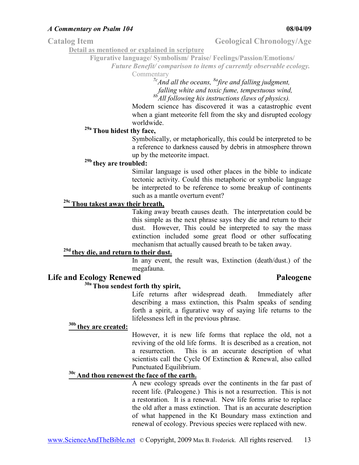Catalog Item Geological Chronology/Age

**Detail as mentioned or explained in scripture**

**Figurative language/ Symbolism/ Praise/ Feelings/Passion/Emotions/** 

*Future Benefit/ comparison to items of currently observable ecology.* 

Commentary

*7cAnd all the oceans, 8afire and falling judgment, falling white and toxic fume, tempestuous wind, 8bAll following his instructions (laws of physics).*

Modern science has discovered it was a catastrophic event when a giant meteorite fell from the sky and disrupted ecology worldwide.

# **29a Thou hidest thy face,**

Symbolically, or metaphorically, this could be interpreted to be a reference to darkness caused by debris in atmosphere thrown up by the meteorite impact.

### **29b they are troubled:**

Similar language is used other places in the bible to indicate tectonic activity. Could this metaphoric or symbolic language be interpreted to be reference to some breakup of continents such as a mantle overturn event?

### **29c Thou takest away their breath,**

Taking away breath causes death. The interpretation could be this simple as the next phrase says they die and return to their dust. However, This could be interpreted to say the mass extinction included some great flood or other suffocating mechanism that actually caused breath to be taken away.

# **29d they die, and return to their dust.**

In any event, the result was, Extinction (death/dust.) of the megafauna.

#### **Life and Ecology Renewed Paleogene**

# **30a Thou sendest forth thy spirit,**

Life returns after widespread death. Immediately after describing a mass extinction, this Psalm speaks of sending forth a spirit, a figurative way of saying life returns to the lifelessness left in the previous phrase.

### **30b they are created:**

However, it is new life forms that replace the old, not a reviving of the old life forms. It is described as a creation, not a resurrection. This is an accurate description of what scientists call the Cycle Of Extinction & Renewal, also called Punctuated Equilibrium.

### **30c And thou renewest the face of the earth.**

A new ecology spreads over the continents in the far past of recent life. (Paleogene.) This is not a resurrection. This is not a restoration. It is a renewal. New life forms arise to replace the old after a mass extinction. That is an accurate description of what happened in the Kt Boundary mass extinction and renewal of ecology. Previous species were replaced with new.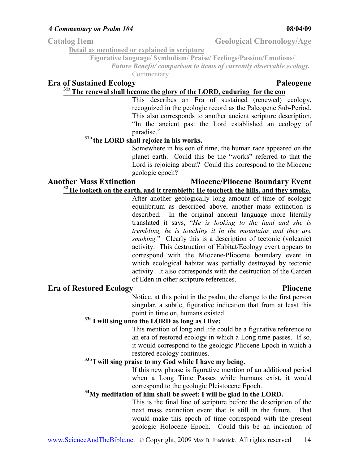Catalog Item Geological Chronology/Age

**Detail as mentioned or explained in scripture**

**Figurative language/ Symbolism/ Praise/ Feelings/Passion/Emotions/** 

*Future Benefit/ comparison to items of currently observable ecology.* 

Commentary

# **Era of Sustained Ecology Paleogene**

# **31a The renewal shall become the glory of the LORD, enduring for the eon**

This describes an Era of sustained (renewed) ecology, recognized in the geologic record as the Paleogene Sub-Period. This also corresponds to another ancient scripture description, "In the ancient past the Lord established an ecology of paradise."

# **31b the LORD shall rejoice in his works.**

Somewhere in his eon of time, the human race appeared on the planet earth. Could this be the "works" referred to that the Lord is rejoicing about? Could this correspond to the Miocene geologic epoch?

#### Another Mass Extinction **Miocene/Pliocene Boundary Event <sup>32</sup>He looketh on the earth, and it trembleth: He toucheth the hills, and they smoke.**

After another geologically long amount of time of ecologic equilibrium as described above, another mass extinction is described. In the original ancient language more literally translated it says, "*He is looking to the land and she is trembling, he is touching it in the mountains and they are smoking.*" Clearly this is a description of tectonic (volcanic) activity. This destruction of Habitat/Ecology event appears to correspond with the Miocene-Pliocene boundary event in which ecological habitat was partially destroyed by tectonic activity. It also corresponds with the destruction of the Garden of Eden in other scripture references.

### **Era of Restored Ecology Pliocene**

Notice, at this point in the psalm, the change to the first person singular, a subtle, figurative indication that from at least this point in time on, humans existed.

# **33a I will sing unto the LORD as long as I live:**

This mention of long and life could be a figurative reference to an era of restored ecology in which a Long time passes. If so, it would correspond to the geologic Pliocene Epoch in which a restored ecology continues.

### **33b I will sing praise to my God while I have my being.**

If this new phrase is figurative mention of an additional period when a Long Time Passes while humans exist, it would correspond to the geologic Pleistocene Epoch.

### **<sup>34</sup>My meditation of him shall be sweet: I will be glad in the LORD.**

This is the final line of scripture before the description of the next mass extinction event that is still in the future. That would make this epoch of time correspond with the present geologic Holocene Epoch. Could this be an indication of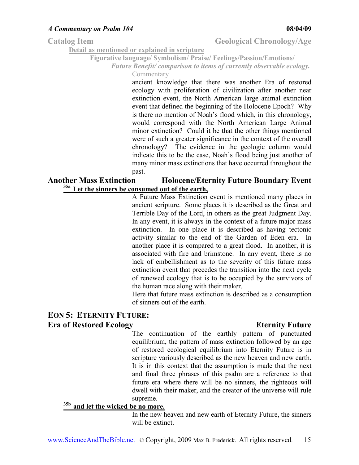### Catalog Item Geological Chronology/Age

**Detail as mentioned or explained in scripture**

**Figurative language/ Symbolism/ Praise/ Feelings/Passion/Emotions/** 

*Future Benefit/ comparison to items of currently observable ecology.* 

Commentary

ancient knowledge that there was another Era of restored ecology with proliferation of civilization after another near extinction event, the North American large animal extinction event that defined the beginning of the Holocene Epoch? Why is there no mention of Noah's flood which, in this chronology, would correspond with the North American Large Animal minor extinction? Could it be that the other things mentioned were of such a greater significance in the context of the overall chronology? The evidence in the geologic column would indicate this to be the case, Noah's flood being just another of many minor mass extinctions that have occurred throughout the past.

#### **Another Mass Extinction Holocene/Eternity Future Boundary Event 35a Let the sinners be consumed out of the earth,**

A Future Mass Extinction event is mentioned many places in ancient scripture. Some places it is described as the Great and Terrible Day of the Lord, in others as the great Judgment Day. In any event, it is always in the context of a future major mass extinction. In one place it is described as having tectonic activity similar to the end of the Garden of Eden era. In another place it is compared to a great flood. In another, it is associated with fire and brimstone. In any event, there is no lack of embellishment as to the severity of this future mass extinction event that precedes the transition into the next cycle of renewed ecology that is to be occupied by the survivors of the human race along with their maker.

Here that future mass extinction is described as a consumption of sinners out of the earth.

### **EON 5: ETERNITY FUTURE: Example 18 Excellence Ecology** Eternity Future **Example 2** Eternity Future

The continuation of the earthly pattern of punctuated equilibrium, the pattern of mass extinction followed by an age of restored ecological equilibrium into Eternity Future is in scripture variously described as the new heaven and new earth. It is in this context that the assumption is made that the next and final three phrases of this psalm are a reference to that future era where there will be no sinners, the righteous will dwell with their maker, and the creator of the universe will rule supreme.

### **35b and let the wicked be no more.**

In the new heaven and new earth of Eternity Future, the sinners will be extinct.